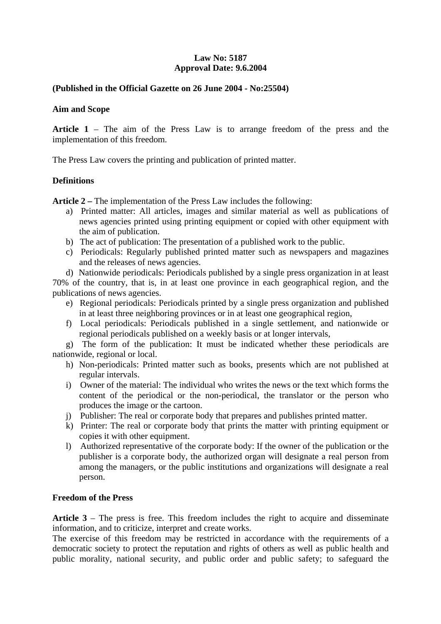# **Law No: 5187 Approval Date: 9.6.2004**

### **(Published in the Official Gazette on 26 June 2004 - No:25504)**

#### **Aim and Scope**

**Article 1** – The aim of the Press Law is to arrange freedom of the press and the implementation of this freedom.

The Press Law covers the printing and publication of printed matter.

## **Definitions**

**Article 2 –** The implementation of the Press Law includes the following:

- a) Printed matter: All articles, images and similar material as well as publications of news agencies printed using printing equipment or copied with other equipment with the aim of publication.
- b) The act of publication: The presentation of a published work to the public.
- c) Periodicals: Regularly published printed matter such as newspapers and magazines and the releases of news agencies.

d) Nationwide periodicals: Periodicals published by a single press organization in at least 70% of the country, that is, in at least one province in each geographical region, and the publications of news agencies.

- e) Regional periodicals: Periodicals printed by a single press organization and published in at least three neighboring provinces or in at least one geographical region,
- f) Local periodicals: Periodicals published in a single settlement, and nationwide or regional periodicals published on a weekly basis or at longer intervals,

 g) The form of the publication: It must be indicated whether these periodicals are nationwide, regional or local.

- h) Non-periodicals: Printed matter such as books, presents which are not published at regular intervals.
- i) Owner of the material: The individual who writes the news or the text which forms the content of the periodical or the non-periodical, the translator or the person who produces the image or the cartoon.
- j) Publisher: The real or corporate body that prepares and publishes printed matter.
- k) Printer: The real or corporate body that prints the matter with printing equipment or copies it with other equipment.
- l) Authorized representative of the corporate body: If the owner of the publication or the publisher is a corporate body, the authorized organ will designate a real person from among the managers, or the public institutions and organizations will designate a real person.

#### **Freedom of the Press**

**Article 3** – The press is free. This freedom includes the right to acquire and disseminate information, and to criticize, interpret and create works.

The exercise of this freedom may be restricted in accordance with the requirements of a democratic society to protect the reputation and rights of others as well as public health and public morality, national security, and public order and public safety; to safeguard the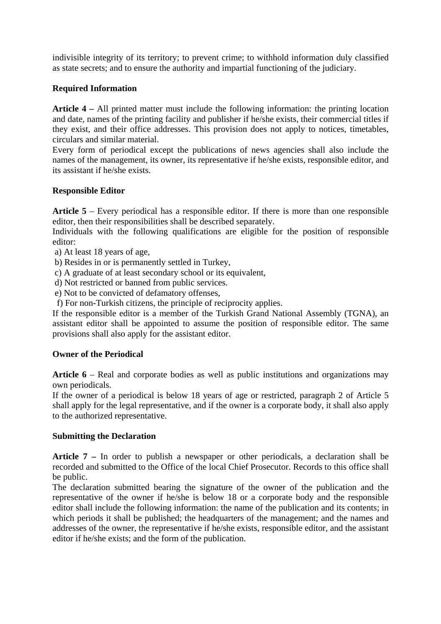indivisible integrity of its territory; to prevent crime; to withhold information duly classified as state secrets; and to ensure the authority and impartial functioning of the judiciary.

## **Required Information**

**Article 4 –** All printed matter must include the following information: the printing location and date, names of the printing facility and publisher if he/she exists, their commercial titles if they exist, and their office addresses. This provision does not apply to notices, timetables, circulars and similar material.

Every form of periodical except the publications of news agencies shall also include the names of the management, its owner, its representative if he/she exists, responsible editor, and its assistant if he/she exists.

### **Responsible Editor**

**Article 5** – Every periodical has a responsible editor. If there is more than one responsible editor, then their responsibilities shall be described separately.

Individuals with the following qualifications are eligible for the position of responsible editor:

a) At least 18 years of age,

b) Resides in or is permanently settled in Turkey,

- c) A graduate of at least secondary school or its equivalent,
- d) Not restricted or banned from public services.
- e) Not to be convicted of defamatory offenses,
- f) For non-Turkish citizens, the principle of reciprocity applies.

If the responsible editor is a member of the Turkish Grand National Assembly (TGNA), an assistant editor shall be appointed to assume the position of responsible editor. The same provisions shall also apply for the assistant editor.

## **Owner of the Periodical**

**Article 6** – Real and corporate bodies as well as public institutions and organizations may own periodicals.

If the owner of a periodical is below 18 years of age or restricted, paragraph 2 of Article 5 shall apply for the legal representative, and if the owner is a corporate body, it shall also apply to the authorized representative.

#### **Submitting the Declaration**

**Article 7 –** In order to publish a newspaper or other periodicals, a declaration shall be recorded and submitted to the Office of the local Chief Prosecutor. Records to this office shall be public.

The declaration submitted bearing the signature of the owner of the publication and the representative of the owner if he/she is below 18 or a corporate body and the responsible editor shall include the following information: the name of the publication and its contents; in which periods it shall be published; the headquarters of the management; and the names and addresses of the owner, the representative if he/she exists, responsible editor, and the assistant editor if he/she exists; and the form of the publication.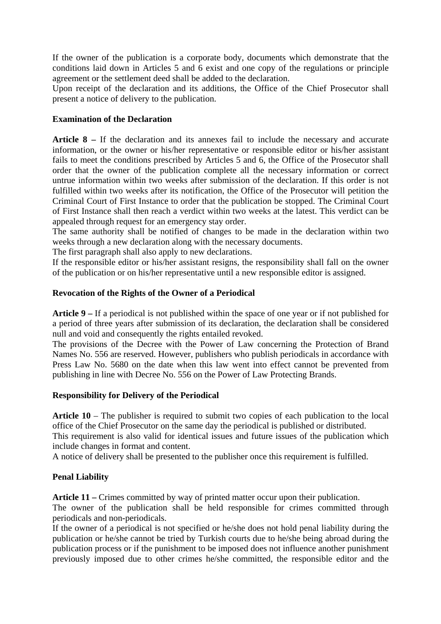If the owner of the publication is a corporate body, documents which demonstrate that the conditions laid down in Articles 5 and 6 exist and one copy of the regulations or principle agreement or the settlement deed shall be added to the declaration.

Upon receipt of the declaration and its additions, the Office of the Chief Prosecutor shall present a notice of delivery to the publication.

### **Examination of the Declaration**

**Article 8 –** If the declaration and its annexes fail to include the necessary and accurate information, or the owner or his/her representative or responsible editor or his/her assistant fails to meet the conditions prescribed by Articles 5 and 6, the Office of the Prosecutor shall order that the owner of the publication complete all the necessary information or correct untrue information within two weeks after submission of the declaration. If this order is not fulfilled within two weeks after its notification, the Office of the Prosecutor will petition the Criminal Court of First Instance to order that the publication be stopped. The Criminal Court of First Instance shall then reach a verdict within two weeks at the latest. This verdict can be appealed through request for an emergency stay order.

The same authority shall be notified of changes to be made in the declaration within two weeks through a new declaration along with the necessary documents.

The first paragraph shall also apply to new declarations.

If the responsible editor or his/her assistant resigns, the responsibility shall fall on the owner of the publication or on his/her representative until a new responsible editor is assigned.

### **Revocation of the Rights of the Owner of a Periodical**

**Article 9 –** If a periodical is not published within the space of one year or if not published for a period of three years after submission of its declaration, the declaration shall be considered null and void and consequently the rights entailed revoked.

The provisions of the Decree with the Power of Law concerning the Protection of Brand Names No. 556 are reserved. However, publishers who publish periodicals in accordance with Press Law No. 5680 on the date when this law went into effect cannot be prevented from publishing in line with Decree No. 556 on the Power of Law Protecting Brands.

#### **Responsibility for Delivery of the Periodical**

**Article 10** – The publisher is required to submit two copies of each publication to the local office of the Chief Prosecutor on the same day the periodical is published or distributed.

This requirement is also valid for identical issues and future issues of the publication which include changes in format and content.

A notice of delivery shall be presented to the publisher once this requirement is fulfilled.

## **Penal Liability**

**Article 11 –** Crimes committed by way of printed matter occur upon their publication.

The owner of the publication shall be held responsible for crimes committed through periodicals and non-periodicals.

If the owner of a periodical is not specified or he/she does not hold penal liability during the publication or he/she cannot be tried by Turkish courts due to he/she being abroad during the publication process or if the punishment to be imposed does not influence another punishment previously imposed due to other crimes he/she committed, the responsible editor and the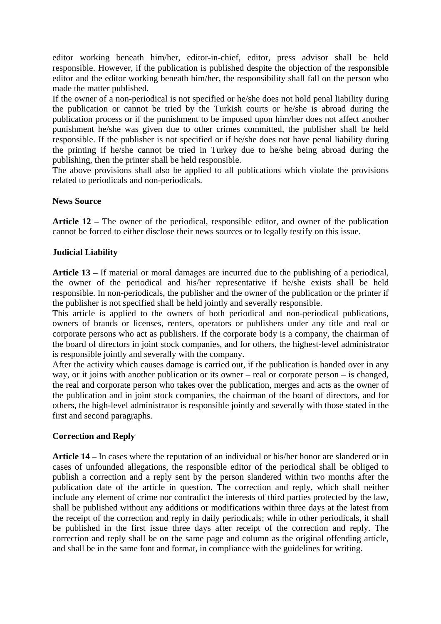editor working beneath him/her, editor-in-chief, editor, press advisor shall be held responsible. However, if the publication is published despite the objection of the responsible editor and the editor working beneath him/her, the responsibility shall fall on the person who made the matter published.

If the owner of a non-periodical is not specified or he/she does not hold penal liability during the publication or cannot be tried by the Turkish courts or he/she is abroad during the publication process or if the punishment to be imposed upon him/her does not affect another punishment he/she was given due to other crimes committed, the publisher shall be held responsible. If the publisher is not specified or if he/she does not have penal liability during the printing if he/she cannot be tried in Turkey due to he/she being abroad during the publishing, then the printer shall be held responsible.

The above provisions shall also be applied to all publications which violate the provisions related to periodicals and non-periodicals.

### **News Source**

**Article 12 –** The owner of the periodical, responsible editor, and owner of the publication cannot be forced to either disclose their news sources or to legally testify on this issue.

### **Judicial Liability**

**Article 13 –** If material or moral damages are incurred due to the publishing of a periodical, the owner of the periodical and his/her representative if he/she exists shall be held responsible. In non-periodicals, the publisher and the owner of the publication or the printer if the publisher is not specified shall be held jointly and severally responsible.

This article is applied to the owners of both periodical and non-periodical publications, owners of brands or licenses, renters, operators or publishers under any title and real or corporate persons who act as publishers. If the corporate body is a company, the chairman of the board of directors in joint stock companies, and for others, the highest-level administrator is responsible jointly and severally with the company.

After the activity which causes damage is carried out, if the publication is handed over in any way, or it joins with another publication or its owner – real or corporate person – is changed, the real and corporate person who takes over the publication, merges and acts as the owner of the publication and in joint stock companies, the chairman of the board of directors, and for others, the high-level administrator is responsible jointly and severally with those stated in the first and second paragraphs.

#### **Correction and Reply**

**Article 14 –** In cases where the reputation of an individual or his/her honor are slandered or in cases of unfounded allegations, the responsible editor of the periodical shall be obliged to publish a correction and a reply sent by the person slandered within two months after the publication date of the article in question. The correction and reply, which shall neither include any element of crime nor contradict the interests of third parties protected by the law, shall be published without any additions or modifications within three days at the latest from the receipt of the correction and reply in daily periodicals; while in other periodicals, it shall be published in the first issue three days after receipt of the correction and reply. The correction and reply shall be on the same page and column as the original offending article, and shall be in the same font and format, in compliance with the guidelines for writing.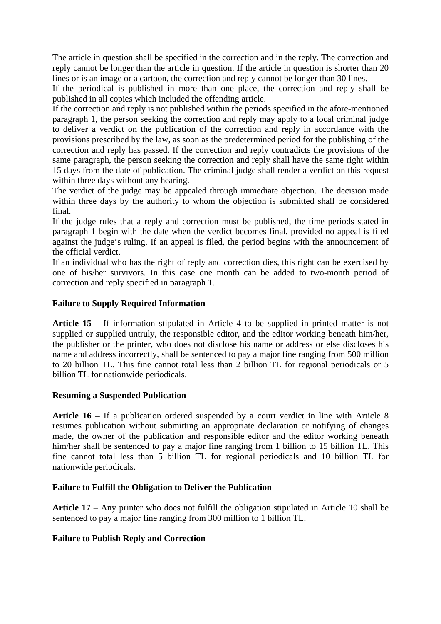The article in question shall be specified in the correction and in the reply. The correction and reply cannot be longer than the article in question. If the article in question is shorter than 20 lines or is an image or a cartoon, the correction and reply cannot be longer than 30 lines.

If the periodical is published in more than one place, the correction and reply shall be published in all copies which included the offending article.

If the correction and reply is not published within the periods specified in the afore-mentioned paragraph 1, the person seeking the correction and reply may apply to a local criminal judge to deliver a verdict on the publication of the correction and reply in accordance with the provisions prescribed by the law, as soon as the predetermined period for the publishing of the correction and reply has passed. If the correction and reply contradicts the provisions of the same paragraph, the person seeking the correction and reply shall have the same right within 15 days from the date of publication. The criminal judge shall render a verdict on this request within three days without any hearing.

The verdict of the judge may be appealed through immediate objection. The decision made within three days by the authority to whom the objection is submitted shall be considered final.

If the judge rules that a reply and correction must be published, the time periods stated in paragraph 1 begin with the date when the verdict becomes final, provided no appeal is filed against the judge's ruling. If an appeal is filed, the period begins with the announcement of the official verdict.

If an individual who has the right of reply and correction dies, this right can be exercised by one of his/her survivors. In this case one month can be added to two-month period of correction and reply specified in paragraph 1.

## **Failure to Supply Required Information**

**Article 15** – If information stipulated in Article 4 to be supplied in printed matter is not supplied or supplied untruly, the responsible editor, and the editor working beneath him/her, the publisher or the printer, who does not disclose his name or address or else discloses his name and address incorrectly, shall be sentenced to pay a major fine ranging from 500 million to 20 billion TL. This fine cannot total less than 2 billion TL for regional periodicals or 5 billion TL for nationwide periodicals.

#### **Resuming a Suspended Publication**

**Article 16 –** If a publication ordered suspended by a court verdict in line with Article 8 resumes publication without submitting an appropriate declaration or notifying of changes made, the owner of the publication and responsible editor and the editor working beneath him/her shall be sentenced to pay a major fine ranging from 1 billion to 15 billion TL. This fine cannot total less than 5 billion TL for regional periodicals and 10 billion TL for nationwide periodicals.

#### **Failure to Fulfill the Obligation to Deliver the Publication**

**Article 17** – Any printer who does not fulfill the obligation stipulated in Article 10 shall be sentenced to pay a major fine ranging from 300 million to 1 billion TL.

## **Failure to Publish Reply and Correction**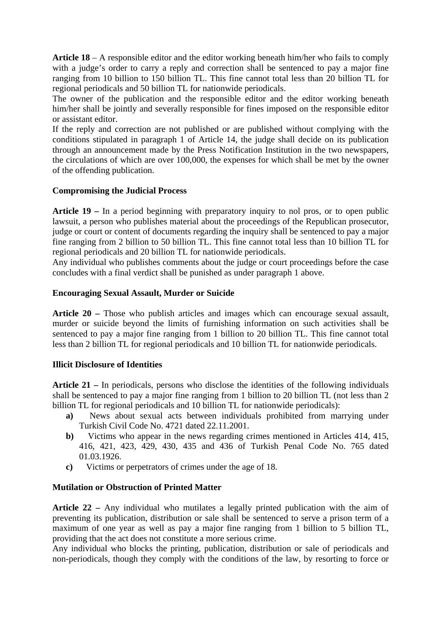**Article 18** – A responsible editor and the editor working beneath him/her who fails to comply with a judge's order to carry a reply and correction shall be sentenced to pay a major fine ranging from 10 billion to 150 billion TL. This fine cannot total less than 20 billion TL for regional periodicals and 50 billion TL for nationwide periodicals.

The owner of the publication and the responsible editor and the editor working beneath him/her shall be jointly and severally responsible for fines imposed on the responsible editor or assistant editor.

If the reply and correction are not published or are published without complying with the conditions stipulated in paragraph 1 of Article 14, the judge shall decide on its publication through an announcement made by the Press Notification Institution in the two newspapers, the circulations of which are over 100,000, the expenses for which shall be met by the owner of the offending publication.

### **Compromising the Judicial Process**

**Article 19 –** In a period beginning with preparatory inquiry to nol pros, or to open public lawsuit, a person who publishes material about the proceedings of the Republican prosecutor, judge or court or content of documents regarding the inquiry shall be sentenced to pay a major fine ranging from 2 billion to 50 billion TL. This fine cannot total less than 10 billion TL for regional periodicals and 20 billion TL for nationwide periodicals.

Any individual who publishes comments about the judge or court proceedings before the case concludes with a final verdict shall be punished as under paragraph 1 above.

### **Encouraging Sexual Assault, Murder or Suicide**

**Article 20 –** Those who publish articles and images which can encourage sexual assault, murder or suicide beyond the limits of furnishing information on such activities shall be sentenced to pay a major fine ranging from 1 billion to 20 billion TL. This fine cannot total less than 2 billion TL for regional periodicals and 10 billion TL for nationwide periodicals.

#### **Illicit Disclosure of Identities**

**Article 21 –** In periodicals, persons who disclose the identities of the following individuals shall be sentenced to pay a major fine ranging from 1 billion to 20 billion TL (not less than 2 billion TL for regional periodicals and 10 billion TL for nationwide periodicals):

- **a)** News about sexual acts between individuals prohibited from marrying under Turkish Civil Code No. 4721 dated 22.11.2001.
- **b)** Victims who appear in the news regarding crimes mentioned in Articles 414, 415, 416, 421, 423, 429, 430, 435 and 436 of Turkish Penal Code No. 765 dated 01.03.1926.
- **c)** Victims or perpetrators of crimes under the age of 18.

#### **Mutilation or Obstruction of Printed Matter**

**Article 22 –** Any individual who mutilates a legally printed publication with the aim of preventing its publication, distribution or sale shall be sentenced to serve a prison term of a maximum of one year as well as pay a major fine ranging from 1 billion to 5 billion TL, providing that the act does not constitute a more serious crime.

Any individual who blocks the printing, publication, distribution or sale of periodicals and non-periodicals, though they comply with the conditions of the law, by resorting to force or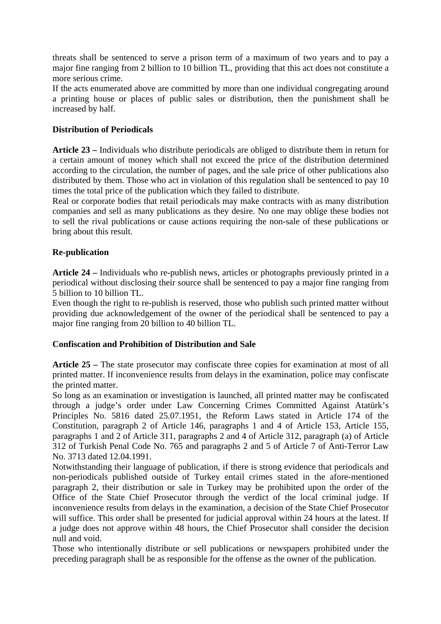threats shall be sentenced to serve a prison term of a maximum of two years and to pay a major fine ranging from 2 billion to 10 billion TL, providing that this act does not constitute a more serious crime.

If the acts enumerated above are committed by more than one individual congregating around a printing house or places of public sales or distribution, then the punishment shall be increased by half.

### **Distribution of Periodicals**

**Article 23 –** Individuals who distribute periodicals are obliged to distribute them in return for a certain amount of money which shall not exceed the price of the distribution determined according to the circulation, the number of pages, and the sale price of other publications also distributed by them. Those who act in violation of this regulation shall be sentenced to pay 10 times the total price of the publication which they failed to distribute.

Real or corporate bodies that retail periodicals may make contracts with as many distribution companies and sell as many publications as they desire. No one may oblige these bodies not to sell the rival publications or cause actions requiring the non-sale of these publications or bring about this result.

### **Re-publication**

**Article 24 –** Individuals who re-publish news, articles or photographs previously printed in a periodical without disclosing their source shall be sentenced to pay a major fine ranging from 5 billion to 10 billion TL.

Even though the right to re-publish is reserved, those who publish such printed matter without providing due acknowledgement of the owner of the periodical shall be sentenced to pay a major fine ranging from 20 billion to 40 billion TL.

#### **Confiscation and Prohibition of Distribution and Sale**

**Article 25 –** The state prosecutor may confiscate three copies for examination at most of all printed matter. If inconvenience results from delays in the examination, police may confiscate the printed matter.

So long as an examination or investigation is launched, all printed matter may be confiscated through a judge's order under Law Concerning Crimes Committed Against Atatürk's Principles No. 5816 dated 25.07.1951, the Reform Laws stated in Article 174 of the Constitution, paragraph 2 of Article 146, paragraphs 1 and 4 of Article 153, Article 155, paragraphs 1 and 2 of Article 311, paragraphs 2 and 4 of Article 312, paragraph (a) of Article 312 of Turkish Penal Code No. 765 and paragraphs 2 and 5 of Article 7 of Anti-Terror Law No. 3713 dated 12.04.1991.

Notwithstanding their language of publication, if there is strong evidence that periodicals and non-periodicals published outside of Turkey entail crimes stated in the afore-mentioned paragraph 2, their distribution or sale in Turkey may be prohibited upon the order of the Office of the State Chief Prosecutor through the verdict of the local criminal judge. If inconvenience results from delays in the examination, a decision of the State Chief Prosecutor will suffice. This order shall be presented for judicial approval within 24 hours at the latest. If a judge does not approve within 48 hours, the Chief Prosecutor shall consider the decision null and void.

Those who intentionally distribute or sell publications or newspapers prohibited under the preceding paragraph shall be as responsible for the offense as the owner of the publication.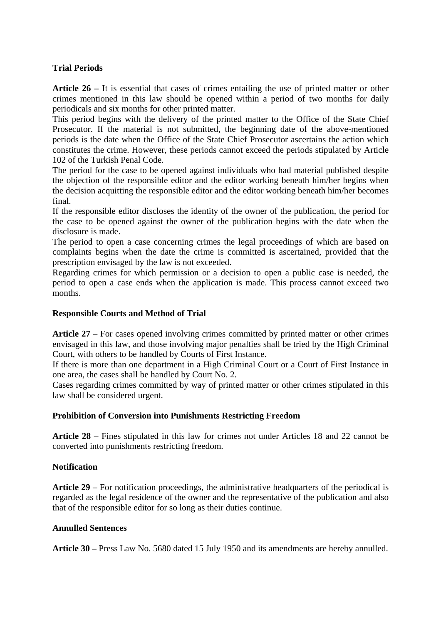# **Trial Periods**

**Article 26 –** It is essential that cases of crimes entailing the use of printed matter or other crimes mentioned in this law should be opened within a period of two months for daily periodicals and six months for other printed matter.

This period begins with the delivery of the printed matter to the Office of the State Chief Prosecutor. If the material is not submitted, the beginning date of the above-mentioned periods is the date when the Office of the State Chief Prosecutor ascertains the action which constitutes the crime. However, these periods cannot exceed the periods stipulated by Article 102 of the Turkish Penal Code.

The period for the case to be opened against individuals who had material published despite the objection of the responsible editor and the editor working beneath him/her begins when the decision acquitting the responsible editor and the editor working beneath him/her becomes final.

If the responsible editor discloses the identity of the owner of the publication, the period for the case to be opened against the owner of the publication begins with the date when the disclosure is made.

The period to open a case concerning crimes the legal proceedings of which are based on complaints begins when the date the crime is committed is ascertained, provided that the prescription envisaged by the law is not exceeded.

Regarding crimes for which permission or a decision to open a public case is needed, the period to open a case ends when the application is made. This process cannot exceed two months.

### **Responsible Courts and Method of Trial**

**Article 27** – For cases opened involving crimes committed by printed matter or other crimes envisaged in this law, and those involving major penalties shall be tried by the High Criminal Court, with others to be handled by Courts of First Instance.

If there is more than one department in a High Criminal Court or a Court of First Instance in one area, the cases shall be handled by Court No. 2.

Cases regarding crimes committed by way of printed matter or other crimes stipulated in this law shall be considered urgent.

## **Prohibition of Conversion into Punishments Restricting Freedom**

**Article 28** – Fines stipulated in this law for crimes not under Articles 18 and 22 cannot be converted into punishments restricting freedom.

## **Notification**

**Article 29** – For notification proceedings, the administrative headquarters of the periodical is regarded as the legal residence of the owner and the representative of the publication and also that of the responsible editor for so long as their duties continue.

#### **Annulled Sentences**

**Article 30 –** Press Law No. 5680 dated 15 July 1950 and its amendments are hereby annulled.